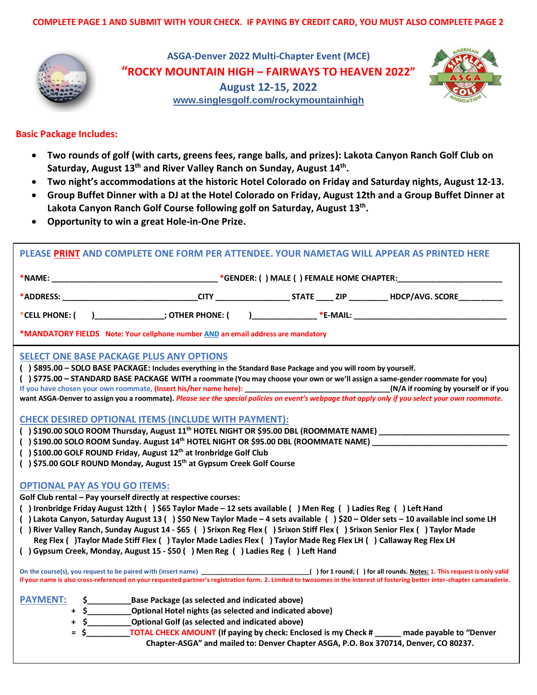

**ASGA-Denver 2022 Multi-Chapter Event (MCE) "ROCKY MOUNTAIN HIGH – FAIRWAYS TO HEAVEN 2022" August 12-15, 2022 [www.singlesgolf.com/rockymountainhigh](http://www.singlesgolf.com/rockymountainhigh)**



## **Basic Package Includes:**

- **Two rounds of golf (with carts, greens fees, range balls, and prizes): Lakota Canyon Ranch Golf Club on**  Saturday, August 13<sup>th</sup> and River Valley Ranch on Sunday, August 14<sup>th</sup>.
- **Two night's accommodations at the historic Hotel Colorado on Friday and Saturday nights, August 12-13.**
- **Group Buffet Dinner with a DJ at the Hotel Colorado on Friday, August 12th and a Group Buffet Dinner at**  Lakota Canyon Ranch Golf Course following golf on Saturday, August 13<sup>th</sup>.
- **Opportunity to win a great Hole-in-One Prize.**

| PLEASE PRINT AND COMPLETE ONE FORM PER ATTENDEE. YOUR NAMETAG WILL APPEAR AS PRINTED HERE                                                                                                                                                                                                                                                                                                                                                                                                                                                                                                                                                                                                           |  |  |  |  |  |
|-----------------------------------------------------------------------------------------------------------------------------------------------------------------------------------------------------------------------------------------------------------------------------------------------------------------------------------------------------------------------------------------------------------------------------------------------------------------------------------------------------------------------------------------------------------------------------------------------------------------------------------------------------------------------------------------------------|--|--|--|--|--|
|                                                                                                                                                                                                                                                                                                                                                                                                                                                                                                                                                                                                                                                                                                     |  |  |  |  |  |
|                                                                                                                                                                                                                                                                                                                                                                                                                                                                                                                                                                                                                                                                                                     |  |  |  |  |  |
| *CELL PHONE: ()_________________; OTHER PHONE: ()_________________*E-MAIL: ___________________________________                                                                                                                                                                                                                                                                                                                                                                                                                                                                                                                                                                                      |  |  |  |  |  |
| *MANDATORY FIELDS Note: Your cellphone number AND an email address are mandatory                                                                                                                                                                                                                                                                                                                                                                                                                                                                                                                                                                                                                    |  |  |  |  |  |
| <b>SELECT ONE BASE PACKAGE PLUS ANY OPTIONS</b><br>() \$895.00 - SOLO BASE PACKAGE: Includes everything in the Standard Base Package and you will room by yourself.<br>() \$775.00 - STANDARD BASE PACKAGE WITH a roommate (You may choose your own or we'll assign a same-gender roommate for you)<br>want ASGA-Denver to assign you a roommate). Please see the special policies on event's webpage that apply only if you select your own roommate.                                                                                                                                                                                                                                              |  |  |  |  |  |
| <b>CHECK DESIRED OPTIONAL ITEMS (INCLUDE WITH PAYMENT):</b><br>() \$190.00 SOLO ROOM Sunday. August 14 <sup>th</sup> HOTEL NIGHT OR \$95.00 DBL (ROOMMATE NAME) _____________________________<br>() \$100.00 GOLF ROUND Friday, August 12 <sup>th</sup> at Ironbridge Golf Club<br>() \$75.00 GOLF ROUND Monday, August 15 <sup>th</sup> at Gypsum Creek Golf Course                                                                                                                                                                                                                                                                                                                                |  |  |  |  |  |
| <b>OPTIONAL PAY AS YOU GO ITEMS:</b><br>Golf Club rental - Pay yourself directly at respective courses:<br>() Ironbridge Friday August 12th () \$65 Taylor Made - 12 sets available () Men Reg () Ladies Reg () Left Hand<br>() Lakota Canyon, Saturday August 13 () \$50 New Taylor Made - 4 sets available () \$20 - Older sets - 10 available incl some LH<br>() River Valley Ranch, Sunday August 14 - \$65 () Srixon Reg Flex () Srixon Stiff Flex () Srixon Senior Flex () Taylor Made<br>Reg Flex () Taylor Made Stiff Flex () Taylor Made Ladies Flex () Taylor Made Reg Flex LH () Callaway Reg Flex LH<br>() Gypsum Creek, Monday, August 15 - \$50 () Men Reg () Ladies Reg () Left Hand |  |  |  |  |  |
| if your name is also cross-referenced on your requested partner's registration form. 2. Limited to twosomes in the interest of fostering better inter-chapter camaraderie.                                                                                                                                                                                                                                                                                                                                                                                                                                                                                                                          |  |  |  |  |  |
| <b>PAYMENT:</b><br>$\frac{1}{2}$<br>Base Package (as selected and indicated above)<br><b>Optional Hotel nights (as selected and indicated above)</b><br>$+$ \$<br>+ \$_______________Optional Golf (as selected and indicated above)<br>5 SULLEY TOTAL CHECK AMOUNT (If paying by check: Enclosed is my Check # _____ made payable to "Denver<br>Chapter-ASGA" and mailed to: Denver Chapter ASGA, P.O. Box 370714, Denver, CO 80237.                                                                                                                                                                                                                                                               |  |  |  |  |  |